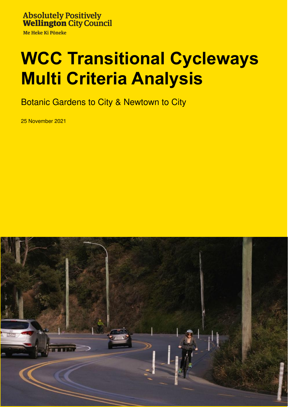**Absolutely Positively Wellington City Council**<br>Me Heke Ki Poneke

# **WCC Transitional Cycleways Multi Criteria Analysis**

Botanic Gardens to City & Newtown to City

25 November 2021

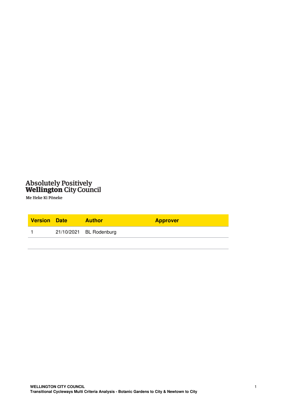## Absolutely Positively<br>Wellington City Council

Me Heke Ki Pōneke

| <b>Version Date</b> | <b>Author</b>           | <b>Approver</b> |
|---------------------|-------------------------|-----------------|
|                     | 21/10/2021 BL Rodenburg |                 |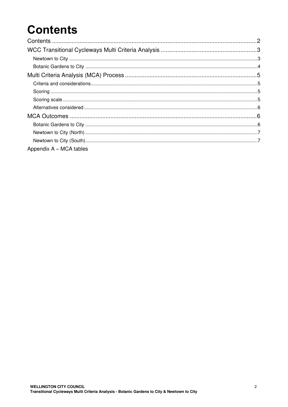## <span id="page-2-0"></span>**Contents**

| Appendix A – MCA tables |  |
|-------------------------|--|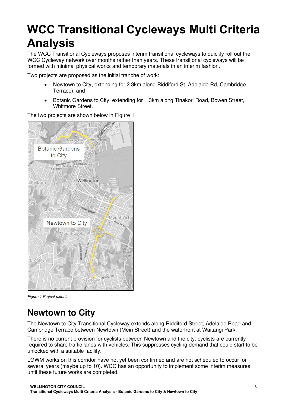## <span id="page-3-0"></span>**WCC Transitional Cycleways Multi Criteria Analysis**

The WCC Transitional Cycleways proposes interim transitional cycleways to quickly roll out the WCC Cycleway network over months rather than years. These transitional cycleways will be formed with minimal physical works and temporary materials in an interim fashion.

Two projects are proposed as the initial tranche of work:

- Newtown to City, extending for 2.3km along Riddiford St, Adelaide Rd, Cambridge Terrace), and
- Botanic Gardens to City, extending for 1.3km along Tinakori Road, Bowen Street, Whitmore Street.



The two projects are shown below in [Figure 1](#page-3-2) 

<span id="page-3-2"></span>Figure 1 Project extents

### <span id="page-3-1"></span>**Newtown to City**

The Newtown to City Transitional Cycleway extends along Riddiford Street, Adelaide Road and Cambridge Terrace between Newtown (Mein Street) and the waterfront at Waitangi Park.

There is no current provision for cyclists between Newtown and the city; cyclists are currently required to share traffic lanes with vehicles. This suppresses cycling demand that could start to be unlocked with a suitable facility.

LGWM works on this corridor have not yet been confirmed and are not scheduled to occur for several years (maybe up to 10). WCC has an opportunity to implement some interim measures until these future works are completed.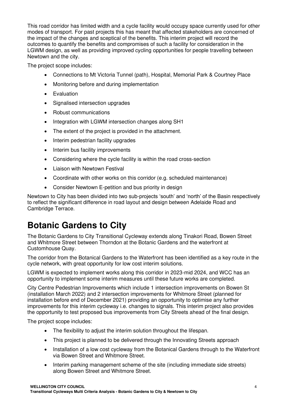This road corridor has limited width and a cycle facility would occupy space currently used for other modes of transport. For past projects this has meant that affected stakeholders are concerned of the impact of the changes and sceptical of the benefits. This interim project will record the outcomes to quantify the benefits and compromises of such a facility for consideration in the LGWM design, as well as providing improved cycling opportunities for people travelling between Newtown and the city.

The project scope includes:

- Connections to Mt Victoria Tunnel (path), Hospital, Memorial Park & Courtney Place
- Monitoring before and during implementation
- Evaluation
- Signalised intersection upgrades
- Robust communications
- Integration with LGWM intersection changes along SH1
- The extent of the project is provided in the attachment.
- Interim pedestrian facility upgrades
- Interim bus facility improvements
- Considering where the cycle facility is within the road cross-section
- Liaison with Newtown Festival
- Coordinate with other works on this corridor (e.g. scheduled maintenance)
- Consider Newtown E-petition and bus priority in design

Newtown to City has been divided into two sub-projects 'south' and 'north' of the Basin respectively to reflect the significant difference in road layout and design between Adelaide Road and Cambridge Terrace.

### <span id="page-4-0"></span>**Botanic Gardens to City**

The Botanic Gardens to City Transitional Cycleway extends along Tinakori Road, Bowen Street and Whitmore Street between Thorndon at the Botanic Gardens and the waterfront at Customhouse Quay.

The corridor from the Botanical Gardens to the Waterfront has been identified as a key route in the cycle network, with great opportunity for low cost interim solutions.

LGWM is expected to implement works along this corridor in 2023-mid 2024, and WCC has an opportunity to implement some interim measures until these future works are completed.

City Centre Pedestrian Improvements which include 1 intersection improvements on Bowen St (installation March 2022) and 2 intersection improvements for Whitmore Street (planned for installation before end of December 2021) providing an opportunity to optimise any further improvements for this interim cycleway i.e. changes to signals. This interim project also provides the opportunity to test proposed bus improvements from City Streets ahead of the final design.

The project scope includes:

- The flexibility to adjust the interim solution throughout the lifespan.
- This project is planned to be delivered through the Innovating Streets approach
- Installation of a low cost cycleway from the Botanical Gardens through to the Waterfront via Bowen Street and Whitmore Street.
- Interim parking management scheme of the site (including immediate side streets) along Bowen Street and Whitmore Street.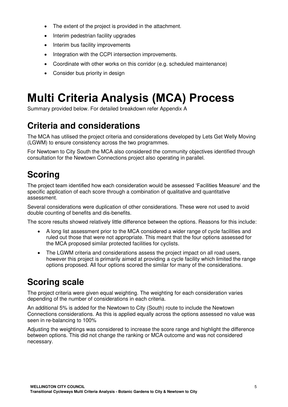- The extent of the project is provided in the attachment.
- Interim pedestrian facility upgrades
- Interim bus facility improvements
- Integration with the CCPI intersection improvements.
- Coordinate with other works on this corridor (e.g. scheduled maintenance)
- Consider bus priority in design

## <span id="page-5-0"></span>**Multi Criteria Analysis (MCA) Process**

Summary provided below. For detailed breakdown refer Appendix A

### <span id="page-5-1"></span>**Criteria and considerations**

The MCA has utilised the project criteria and considerations developed by Lets Get Welly Moving (LGWM) to ensure consistency across the two programmes.

For Newtown to City South the MCA also considered the community objectives identified through consultation for the Newtown Connections project also operating in parallel.

### <span id="page-5-2"></span>**Scoring**

The project team identified how each consideration would be assessed 'Facilities Measure' and the specific application of each score through a combination of qualitative and quantitative assessment.

Several considerations were duplication of other considerations. These were not used to avoid double counting of benefits and dis-benefits.

The score results showed relatively little difference between the options. Reasons for this include:

- A long list assessment prior to the MCA considered a wider range of cycle facilities and ruled out those that were not appropriate. This meant that the four options assessed for the MCA proposed similar protected facilities for cyclists.
- The LGWM criteria and considerations assess the project impact on all road users, however this project is primarily aimed at providing a cycle facility which limited the range options proposed. All four options scored the similar for many of the considerations.

### <span id="page-5-3"></span>**Scoring scale**

The project criteria were given equal weighting. The weighting for each consideration varies depending of the number of considerations in each criteria.

An additional 5% is added for the Newtown to City (South) route to include the Newtown Connections considerations. As this is applied equally across the options assessed no value was seen in re-balancing to 100%

Adjusting the weightings was considered to increase the score range and highlight the difference between options. This did not change the ranking or MCA outcome and was not considered necessary.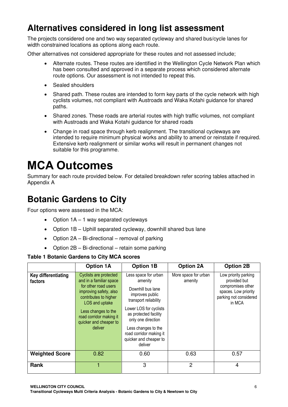### <span id="page-6-0"></span>**Alternatives considered in long list assessment**

The projects considered one and two way separated cycleway and shared bus/cycle lanes for width constrained locations as options along each route.

Other alternatives not considered appropriate for these routes and not assessed include;

- Alternate routes. These routes are identified in the Wellington Cycle Network Plan which has been consulted and approved in a separate process which considered alternate route options. Our assessment is not intended to repeat this.
- Sealed shoulders
- Shared path. These routes are intended to form key parts of the cycle network with high cyclists volumes, not compliant with Austroads and Waka Kotahi guidance for shared paths.
- Shared zones. These roads are arterial routes with high traffic volumes, not compliant with Austroads and Waka Kotahi guidance for shared roads
- Change in road space through kerb realignment. The transitional cycleways are intended to require minimum physical works and ability to amend or reinstate if required. Extensive kerb realignment or similar works will result in permanent changes not suitable for this programme.

### <span id="page-6-1"></span>**MCA Outcomes**

Summary for each route provided below. For detailed breakdown refer scoring tables attached in Appendix A

### <span id="page-6-2"></span>**Botanic Gardens to City**

Four options were assessed in the MCA:

- Option 1A 1 way separated cycleways
- Option 1B Uphill separated cycleway, downhill shared bus lane
- Option  $2A Bi$ -directional removal of parking
- Option 2B Bi-directional retain some parking

#### **Table 1 Botanic Gardens to City MCA scores**

|                                | <b>Option 1A</b>                                                                                                                                                                                                                      | <b>Option 1B</b>                                                                                                                                                                                                                                                 | <b>Option 2A</b>                | <b>Option 2B</b>                                                                                                      |
|--------------------------------|---------------------------------------------------------------------------------------------------------------------------------------------------------------------------------------------------------------------------------------|------------------------------------------------------------------------------------------------------------------------------------------------------------------------------------------------------------------------------------------------------------------|---------------------------------|-----------------------------------------------------------------------------------------------------------------------|
| Key differentiating<br>factors | Cyclists are protected<br>and in a familiar space<br>for other road users<br>improving safety, also<br>contributes to higher<br>LOS and uptake<br>Less changes to the<br>road corridor making it<br>quicker and cheaper to<br>deliver | Less space for urban<br>amenity<br>Downhill bus lane<br>improves public<br>transport reliability<br>Lower LOS for cyclists<br>as protected facility<br>only one direction<br>Less changes to the<br>road corridor making it<br>quicker and cheaper to<br>deliver | More space for urban<br>amenity | Low priority parking<br>provided but<br>compromises other<br>spaces. Low priority<br>parking not considered<br>in MCA |
| <b>Weighted Score</b>          | 0.82                                                                                                                                                                                                                                  | 0.60                                                                                                                                                                                                                                                             | 0.63                            | 0.57                                                                                                                  |
| <b>Rank</b>                    |                                                                                                                                                                                                                                       | 3                                                                                                                                                                                                                                                                | 2                               | 4                                                                                                                     |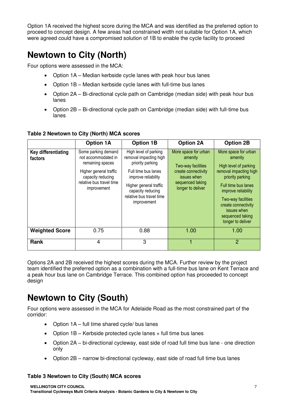Option 1A received the highest score during the MCA and was identified as the preferred option to proceed to concept design. A few areas had constrained width not suitable for Option 1A, which were agreed could have a compromised solution of 1B to enable the cycle facility to proceed

### <span id="page-7-0"></span>**Newtown to City (North)**

Four options were assessed in the MCA:

- Option 1A Median kerbside cycle lanes with peak hour bus lanes
- Option 1B Median kerbside cycle lanes with full-time bus lanes
- Option 2A Bi-directional cycle path on Cambridge (median side) with peak hour bus lanes
- Option 2B Bi-directional cycle path on Cambridge (median side) with full-time bus lanes

### **Table 2 Newtown to City (North) MCA scores**

|                                | <b>Option 1A</b>                                                                                                                                         | <b>Option 1B</b>                                                                                                                                                                                            | <b>Option 2A</b>                                                                                                                     | <b>Option 2B</b>                                                                                                                                                                                                                                          |
|--------------------------------|----------------------------------------------------------------------------------------------------------------------------------------------------------|-------------------------------------------------------------------------------------------------------------------------------------------------------------------------------------------------------------|--------------------------------------------------------------------------------------------------------------------------------------|-----------------------------------------------------------------------------------------------------------------------------------------------------------------------------------------------------------------------------------------------------------|
| Key differentiating<br>factors | Some parking demand<br>not accommodated in<br>remaining spaces<br>Higher general traffic<br>capacity reducing<br>relative bus travel time<br>improvement | High level of parking<br>removal impacting high<br>priority parking<br>Full time bus lanes<br>improve reliability<br>Higher general traffic<br>capacity reducing<br>relative bus travel time<br>improvement | More space for urban<br>amenity<br>Two-way facilities<br>create connectivity<br>issues when<br>sequenced taking<br>longer to deliver | More space for urban<br>amenity<br>High level of parking<br>removal impacting high<br>priority parking<br>Full time bus lanes<br>improve reliability<br>Two-way facilities<br>create connectivity<br>issues when<br>sequenced taking<br>longer to deliver |
| <b>Weighted Score</b>          | 0.75                                                                                                                                                     | 0.88                                                                                                                                                                                                        | 1.00                                                                                                                                 | 1.00                                                                                                                                                                                                                                                      |
| <b>Rank</b>                    | 4                                                                                                                                                        | 3                                                                                                                                                                                                           |                                                                                                                                      | 2                                                                                                                                                                                                                                                         |

Options 2A and 2B received the highest scores during the MCA. Further review by the project team identified the preferred option as a combination with a full-time bus lane on Kent Terrace and a peak hour bus lane on Cambridge Terrace. This combined option has proceeded to concept design

### <span id="page-7-1"></span>**Newtown to City (South)**

Four options were assessed in the MCA for Adelaide Road as the most constrained part of the corridor:

- Option 1A full time shared cycle/ bus lanes
- Option  $1B$  Kerbside protected cycle lanes  $+$  full time bus lanes
- Option 2A bi-directional cycleway, east side of road full time bus lane one direction only
- Option 2B narrow bi-directional cycleway, east side of road full time bus lanes

#### **Table 3 Newtown to City (South) MCA scores**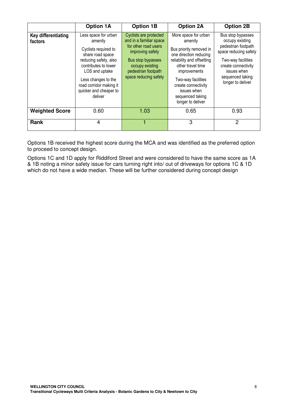|                                | <b>Option 1A</b>                                                                                                                                                                                                                      | <b>Option 1B</b>                                                                                                                                                                      | <b>Option 2A</b>                                                                                                                                                                                                                                             | <b>Option 2B</b>                                                                                                                                                                          |
|--------------------------------|---------------------------------------------------------------------------------------------------------------------------------------------------------------------------------------------------------------------------------------|---------------------------------------------------------------------------------------------------------------------------------------------------------------------------------------|--------------------------------------------------------------------------------------------------------------------------------------------------------------------------------------------------------------------------------------------------------------|-------------------------------------------------------------------------------------------------------------------------------------------------------------------------------------------|
| Key differentiating<br>factors | Less space for urban<br>amenity<br>Cyclists required to<br>share road space<br>reducing safety, also<br>contributes to lower<br>LOS and uptake<br>Less changes to the<br>road corridor making it<br>quicker and cheaper to<br>deliver | Cyclists are protected<br>and in a familiar space<br>for other road users<br>improving safety<br>Bus stop bypasses<br>occupy existing<br>pedestrian footpath<br>space reducing safety | More space for urban<br>amenity<br>Bus priority removed in<br>one direction reducing<br>reliability and offsetting<br>other travel time<br>improvements<br>Two-way facilities<br>create connectivity<br>issues when<br>sequenced taking<br>longer to deliver | Bus stop bypasses<br>occupy existing<br>pedestrian footpath<br>space reducing safety<br>Two-way facilities<br>create connectivity<br>issues when<br>sequenced taking<br>longer to deliver |
| <b>Weighted Score</b>          | 0.60                                                                                                                                                                                                                                  | 1.03                                                                                                                                                                                  | 0.65                                                                                                                                                                                                                                                         | 0.93                                                                                                                                                                                      |
| <b>Rank</b>                    | 4                                                                                                                                                                                                                                     |                                                                                                                                                                                       | 3                                                                                                                                                                                                                                                            | $\overline{2}$                                                                                                                                                                            |

Options 1B received the highest score during the MCA and was identified as the preferred option to proceed to concept design.

Options 1C and 1D apply for Riddiford Street and were considered to have the same score as 1A & 1B noting a minor safety issue for cars turning right into/ out of driveways for options 1C & 1D which do not have a wide median. These will be further considered during concept design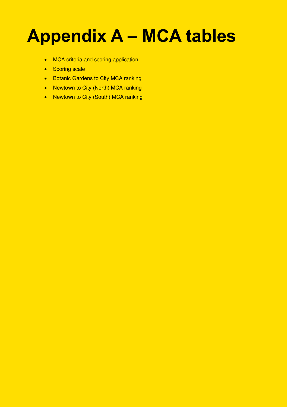# **Appendix A – MCA tables**

- MCA criteria and scoring application
- Scoring scale
- Botanic Gardens to City MCA ranking
- Newtown to City (North) MCA ranking
- Newtown to City (South) MCA ranking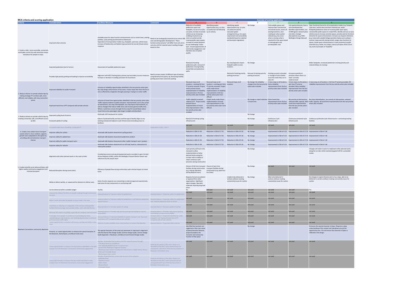| MCA criteria and scoring application                                                                                                 |                                                                                                                                                                              |                                                                                                                                                                                                                                                                                                                                                                                                                                                                                       |                                                                                                                                                                                  | <b>Example of scoring application</b>                                                                                                                                                                                                                                                                                                                                                            |                                                                                                                                                             |                                                                                                                                                                                                         |                                                                                                     |                                                                                                                                                                                                                             |                                                                                                                   |                                                                                                                                                                                                                                                                                                                                                                                                                                                                                                                                                                                                                                                                                                                                                              |
|--------------------------------------------------------------------------------------------------------------------------------------|------------------------------------------------------------------------------------------------------------------------------------------------------------------------------|---------------------------------------------------------------------------------------------------------------------------------------------------------------------------------------------------------------------------------------------------------------------------------------------------------------------------------------------------------------------------------------------------------------------------------------------------------------------------------------|----------------------------------------------------------------------------------------------------------------------------------------------------------------------------------|--------------------------------------------------------------------------------------------------------------------------------------------------------------------------------------------------------------------------------------------------------------------------------------------------------------------------------------------------------------------------------------------------|-------------------------------------------------------------------------------------------------------------------------------------------------------------|---------------------------------------------------------------------------------------------------------------------------------------------------------------------------------------------------------|-----------------------------------------------------------------------------------------------------|-----------------------------------------------------------------------------------------------------------------------------------------------------------------------------------------------------------------------------|-------------------------------------------------------------------------------------------------------------------|--------------------------------------------------------------------------------------------------------------------------------------------------------------------------------------------------------------------------------------------------------------------------------------------------------------------------------------------------------------------------------------------------------------------------------------------------------------------------------------------------------------------------------------------------------------------------------------------------------------------------------------------------------------------------------------------------------------------------------------------------------------|
|                                                                                                                                      | <b>Consideration</b>                                                                                                                                                         | <b>Facilities Measure</b>                                                                                                                                                                                                                                                                                                                                                                                                                                                             | <b>Comment</b>                                                                                                                                                                   | Reduction of available                                                                                                                                                                                                                                                                                                                                                                           | $-2$<br>Identifying spatial                                                                                                                                 | $-1$<br>Identifying spatial                                                                                                                                                                             | $\overline{0}$<br>No change                                                                         | Find suitable spaces and                                                                                                                                                                                                    | $\overline{2}$                                                                                                    | Link spatial elements, have a Clear functional hierarchy of transportation modes (e.g. footpath,                                                                                                                                                                                                                                                                                                                                                                                                                                                                                                                                                                                                                                                             |
| 1. Create a safer, more accessible, connected,<br>and livable central city with attractive streets<br>and places for people to enjoy | Improved urban amenity                                                                                                                                                       | Available space for place function enhancements such as street trees, seating, Needs to be strategically assessed across entire CBD more car parks) and de-<br>parklets, cycle parking (avoid hostile architecture)<br>Separation of transportation modes (e.g. footpath, cycle lane, vehicle lane)<br>Increase of biodiversity and habitat improvements for overall climate action<br>response                                                                                       | area and demographic development. "Place<br>function enhancements" will differ from sub-urb to<br>sub-urb, and the required space needing changes<br>based on that               | pedestrian space and<br>footpaths, no use of sur-plus car parks) but not following<br>car-parks, increase of private up on actions,<br>vehicle use by increasing<br>enabling structures (e.g.<br>creasing public open spaces,<br>increase of carbon footprint<br>by not challenging "status<br>quo", missed opportunities of<br>community engagement and<br>therefore loss of spatial<br>quality | opportunities (e.g. sur-plus                                                                                                                                | opportunities (e.g. sur-plus<br>car parks) but poorly<br>executed spatial<br>arrangement (e.g. min space<br>requirement and accessibility<br>standards) based on national<br>and local govt regulations |                                                                                                     | improve their function/use<br>existing functions, start<br>creating an urban spatial<br>network (e.g. key areas -<br>what is missing, what is<br>required for that space based<br>on demographic and<br>private/public use) | suite developed that<br>and other strategic<br>plans/policies (e.g. WSD,<br>Wellington Design Manual)             | cycle lane, vehicle lane) and their intented use, widen<br>and overall access, assess all identifies opportunities, Use footpaths/pedestrian areas to increase public open space,<br>of GNP (green network plan) connect/link public spaces to create POI's, identify and use sur-plus<br>vehicle areas to increase amenity spaces, provide exterior furniture<br>elements for space enhancement, increase use of green elements<br>(e.g. trees) with suitable foliage (provide shadow and cooling in<br>summer, keep warmth during winter), assign clear functions to<br>spaces, locate space enhancements in close proximity to public<br>amenities (e.g. toilets, bus-stops), look at principles of the 15min<br>city, look at principles of "livability" |
|                                                                                                                                      | Improved pedestrian level of service                                                                                                                                         | Assessment of available pedestrian space                                                                                                                                                                                                                                                                                                                                                                                                                                              |                                                                                                                                                                                  | Removal of existing<br>pedestrian path, removal of<br>pedestrian crossing facility,<br>shared bike and pedestrian<br>paths                                                                                                                                                                                                                                                                       |                                                                                                                                                             | Bus stop bypasses impact<br>footpath width at some<br>locations                                                                                                                                         | No change                                                                                           |                                                                                                                                                                                                                             |                                                                                                                   | Wider footpaths, increased pedestrian crossing priority and<br>reduced delays at crossings                                                                                                                                                                                                                                                                                                                                                                                                                                                                                                                                                                                                                                                                   |
|                                                                                                                                      | Provides high priority parking and loading to improve accessibility                                                                                                          | Alignment with WCC Parking policy primary and secondary success measures.<br>Increase or decrease in loading provisions for businesses                                                                                                                                                                                                                                                                                                                                                | Need to assess impact of different type of parking<br>using hierachy from policy. Eg. Removing mobility<br>parking worse than commuter parking                                   |                                                                                                                                                                                                                                                                                                                                                                                                  |                                                                                                                                                             | Removal of existing priority<br>parking provisions                                                                                                                                                      | Removal of existing priority<br>parking provisions                                                  | Existing provision relocated  Increases quantity of<br>or change of use to better<br>serve the needs they are in<br>place for                                                                                               | provision where there is a<br>need. currently<br>underserviced                                                    |                                                                                                                                                                                                                                                                                                                                                                                                                                                                                                                                                                                                                                                                                                                                                              |
| 2. Reduce reliance on private vehicle trips by<br>making strategic PT corridors safe, more                                           | Improved reliability for public transport                                                                                                                                    | Inclusion of reliability opportunities identified in the bus priority action plan.<br>Bus stop design and provision of bus lanes. In-lane stops that mean the bus is<br>not so affected by congestion through queuing or trying to re-enter traffic                                                                                                                                                                                                                                   |                                                                                                                                                                                  | Recessed stops at all<br>locations + existing full time<br>PT priority removed. Project PT priority removed. Project<br>works prevent future<br>implementation of reliability implementation of reliability<br>improvements in the bus<br>priority action plan included                                                                                                                          | Recessed stops at all<br>locations + existing part time locations<br>works make future<br>improvements in the bus<br>priority action plan more<br>difficult | Recessed stops at all                                                                                                                                                                                   | No change. No reliability<br>changes from the bus priority Some reliability<br>action plan included | In-lane stops at all locations.<br>improvements from the bus provided. Most reliability                                                                                                                                     | part time PT priority<br>priority action plan included improvements from the bus<br>priority action plan included | In-lane stops at all locations + In-lane stops at all locations + full time PT priority provided. All<br>reliability improvements from the bus priority action plan included                                                                                                                                                                                                                                                                                                                                                                                                                                                                                                                                                                                 |
| efficient, and reliable, with easy connection<br>points                                                                              | Improved travel time of PT compared with private vehicles                                                                                                                    | Inclusion of travel time opportunities identified in the bus priority action plan.<br>Traffic capacity relative to public transport. Improvements such as bus jumps<br>at intersections, bus stop rationalisation, bus stop layout improvements, as<br>well as changes that reduce traffic lanes and increase general traffic time.<br>Where a cycle lane crosses through the bus stop this would likely reduce<br>travel time as bus passengers take longer to alight and disembark. |                                                                                                                                                                                  | Traffic capacity increased<br>relative to PT. Project works<br>prevent future<br>implementation of travel<br>time improvements in the<br>bus priority action plan<br>included                                                                                                                                                                                                                    | Project works make future<br>implementation of travel<br>time improvements in the<br>bus priority action plan more<br>difficult                             |                                                                                                                                                                                                         | No change or equal reduction Some travel time<br>in travel time                                     | priority action plan included travel time improvements                                                                                                                                                                      | from the bus priority action<br>plan included                                                                     | Bus priority at intersections. Bus stop rationalisation, bus priority at intersections, reduced<br>improvements from the bus reduced traffic capacity. Most traffic capacity. All travel time improvements from the bus priority<br>action plan included                                                                                                                                                                                                                                                                                                                                                                                                                                                                                                     |
| 3. Reduce reliance on private vehicle trips by                                                                                       | Improved cycling level of service                                                                                                                                            | Austroads LOS Framework for cyclists                                                                                                                                                                                                                                                                                                                                                                                                                                                  |                                                                                                                                                                                  |                                                                                                                                                                                                                                                                                                                                                                                                  |                                                                                                                                                             |                                                                                                                                                                                                         | No change                                                                                           |                                                                                                                                                                                                                             |                                                                                                                   |                                                                                                                                                                                                                                                                                                                                                                                                                                                                                                                                                                                                                                                                                                                                                              |
| creating connected, safe, and efficient access<br>by bike                                                                            | Increased uptake of cycling                                                                                                                                                  | Extent of protcted facility and how well the type of facility aligns to any<br>existing and planned adjacent cycle infrastructure (including access to<br>facilities)                                                                                                                                                                                                                                                                                                                 |                                                                                                                                                                                  | Removal of existing cycling<br>infrastrucutre                                                                                                                                                                                                                                                                                                                                                    |                                                                                                                                                             |                                                                                                                                                                                                         | No change                                                                                           | Continuous cycle<br>infrastrucutre                                                                                                                                                                                          | infrastrucutre                                                                                                    | Continuous protected cycle  Continuous protected cycle infrastrucutre + connecting existing<br>facilities                                                                                                                                                                                                                                                                                                                                                                                                                                                                                                                                                                                                                                                    |
|                                                                                                                                      | Increased mode share of walking, cycling and PT                                                                                                                              |                                                                                                                                                                                                                                                                                                                                                                                                                                                                                       | Duplication of 1(b), 2 and 3                                                                                                                                                     | not used                                                                                                                                                                                                                                                                                                                                                                                         | not used                                                                                                                                                    | not used                                                                                                                                                                                                | not used                                                                                            | not used                                                                                                                                                                                                                    | not used                                                                                                          | not used                                                                                                                                                                                                                                                                                                                                                                                                                                                                                                                                                                                                                                                                                                                                                     |
| 4. Create a low carbon future transport<br>system which is more resilient, supports                                                  | Improves safety for cyclists                                                                                                                                                 | Austroads Safe Systems Assessment cycling product                                                                                                                                                                                                                                                                                                                                                                                                                                     |                                                                                                                                                                                  | Reduction in SSA of >36                                                                                                                                                                                                                                                                                                                                                                          | Reduction in SSA of 17-35                                                                                                                                   | Reduction in SSA of 4-16                                                                                                                                                                                | No change                                                                                           |                                                                                                                                                                                                                             | Improvement in SSA of 4-16    Improvement in SSA of 17-35    Improvement in SSA of >36                            |                                                                                                                                                                                                                                                                                                                                                                                                                                                                                                                                                                                                                                                                                                                                                              |
| growth and is adaptable to disruption by<br>providing safe and attractive transport                                                  | Improves safety for pedestrians                                                                                                                                              | Austroads Safe Systems Assessment pedestrian product                                                                                                                                                                                                                                                                                                                                                                                                                                  |                                                                                                                                                                                  | Reduction in SSA of >36                                                                                                                                                                                                                                                                                                                                                                          | Reduction in SSA of 17-35                                                                                                                                   | Reduction in SSA of 4-16                                                                                                                                                                                | No change                                                                                           |                                                                                                                                                                                                                             | Improvement in SSA of 4-16   Improvement in SSA of 17-35   Improvement in SSA of >36                              |                                                                                                                                                                                                                                                                                                                                                                                                                                                                                                                                                                                                                                                                                                                                                              |
| choices                                                                                                                              | Improves safety for public transport users                                                                                                                                   | Austroads Safe Systems Assessment other 'public transport users' product                                                                                                                                                                                                                                                                                                                                                                                                              |                                                                                                                                                                                  | Reduction in SSA of >36                                                                                                                                                                                                                                                                                                                                                                          | Reduction in SSA of 17-35                                                                                                                                   | Reduction in SSA of 4-16                                                                                                                                                                                | No change                                                                                           |                                                                                                                                                                                                                             |                                                                                                                   |                                                                                                                                                                                                                                                                                                                                                                                                                                                                                                                                                                                                                                                                                                                                                              |
|                                                                                                                                      | Improves safety for vehicles                                                                                                                                                 | Austroads Safe Systems Assessment run-off road, head on, intersection &                                                                                                                                                                                                                                                                                                                                                                                                               |                                                                                                                                                                                  | Reduction in SSA of >36                                                                                                                                                                                                                                                                                                                                                                          | Reduction in SSA of 17-35                                                                                                                                   | Reduction in SSA of 4-16                                                                                                                                                                                | No change                                                                                           |                                                                                                                                                                                                                             | Improvement in SSA of 4-16   Improvement in SSA of 17-35   Improvement in SSA of >36                              |                                                                                                                                                                                                                                                                                                                                                                                                                                                                                                                                                                                                                                                                                                                                                              |
|                                                                                                                                      | Alignment with other planned works in the road corridor                                                                                                                      | motocyclist product<br>Considering current and upcoming planned works recorded in open Corridor<br>Access Requests (CARs), within the Wellington Forward Works Viewer and<br>references by the project team                                                                                                                                                                                                                                                                           |                                                                                                                                                                                  | Cycle priority will have to be<br>removed to allow<br>implementation of other<br>planned works along the<br>corridor with no ability to<br>retain continous cycle<br>provision during construction                                                                                                                                                                                               |                                                                                                                                                             |                                                                                                                                                                                                         | No change                                                                                           |                                                                                                                                                                                                                             |                                                                                                                   | Changes will make it easier to implement other planned works<br>along the corridor whilst maintaining good LOS for sustainable<br>modes                                                                                                                                                                                                                                                                                                                                                                                                                                                                                                                                                                                                                      |
| 5. Enables benefits to be delivered faster with<br>higher quality community engagement and<br>minimal disruption                     | Reduced disruption during construction                                                                                                                                       | Efficiency of people flow during construction with minimal impact on travel<br>times                                                                                                                                                                                                                                                                                                                                                                                                  |                                                                                                                                                                                  | Closure of full-time transport Closure of part-time<br>facilities during construction transport facilities during<br>(e.g. stop-go operation<br>during daytime hours)                                                                                                                                                                                                                            | construction (e.g. peak hour<br>bus lanes)                                                                                                                  |                                                                                                                                                                                                         | No change                                                                                           | not used                                                                                                                                                                                                                    | not used                                                                                                          | not used                                                                                                                                                                                                                                                                                                                                                                                                                                                                                                                                                                                                                                                                                                                                                     |
|                                                                                                                                      | Ability to deliver quickly, or sequenced for elements to deliver early                                                                                                       | Scale of works required, any consenting or external approval requirements,<br>lead times for key components or contracting staff                                                                                                                                                                                                                                                                                                                                                      |                                                                                                                                                                                  | Requires formal consultation<br>or approval from other<br>organisations. Significant<br>signal changes. Specialist<br>materials requiring long lead<br>times.                                                                                                                                                                                                                                    |                                                                                                                                                             | Unable to be delivered in<br>sections without creating<br>connectivity issues for cyclists                                                                                                              | No change                                                                                           | Able to be delivered in<br>sections without creating<br>connectivity issues for cyclists                                                                                                                                    |                                                                                                                   | No changes to signal infrastrucutre or bus stops, able to be<br>delivered in sections without creating connectivity issues for<br>cyclists                                                                                                                                                                                                                                                                                                                                                                                                                                                                                                                                                                                                                   |
|                                                                                                                                      | Can be delivered within available budget                                                                                                                                     | Yes/No                                                                                                                                                                                                                                                                                                                                                                                                                                                                                |                                                                                                                                                                                  | No<br>not used                                                                                                                                                                                                                                                                                                                                                                                   | not used<br>not used                                                                                                                                        | not used<br>not used                                                                                                                                                                                    | not used<br>not used                                                                                | not used<br>not used                                                                                                                                                                                                        | not used<br>not used                                                                                              | <b>Yes</b><br>not used                                                                                                                                                                                                                                                                                                                                                                                                                                                                                                                                                                                                                                                                                                                                       |
|                                                                                                                                      | Improve the safety of facilities for people walking through and around<br>the area                                                                                           | Assessed above in 'Improves safety for pedestrians'                                                                                                                                                                                                                                                                                                                                                                                                                                   | Assessed above in 'Improves safety for pedestrians'                                                                                                                              |                                                                                                                                                                                                                                                                                                                                                                                                  |                                                                                                                                                             |                                                                                                                                                                                                         |                                                                                                     |                                                                                                                                                                                                                             |                                                                                                                   |                                                                                                                                                                                                                                                                                                                                                                                                                                                                                                                                                                                                                                                                                                                                                              |
|                                                                                                                                      | Make it easier and safer for people to cross roads in the area                                                                                                               | Assessed above in 'Improves safety for pedestrians' and 'Improve pedestrian Assessed above in 'Improves safety for pedestrians'<br>level of service'                                                                                                                                                                                                                                                                                                                                  | and 'Improve pedestrian level of service'                                                                                                                                        | not used                                                                                                                                                                                                                                                                                                                                                                                         | not used                                                                                                                                                    | not used                                                                                                                                                                                                | not used                                                                                            | not used                                                                                                                                                                                                                    | not used                                                                                                          | not used                                                                                                                                                                                                                                                                                                                                                                                                                                                                                                                                                                                                                                                                                                                                                     |
|                                                                                                                                      | Contribute to reducing car congestion in the area by creating better<br>facilities that encourage more people to bike, walk, and take the bus                                | Assessed above in 'Increase uptake of cycling'                                                                                                                                                                                                                                                                                                                                                                                                                                        | Assessed above in 'Increase uptake of cycling'                                                                                                                                   | not used                                                                                                                                                                                                                                                                                                                                                                                         | not used                                                                                                                                                    | not used                                                                                                                                                                                                | not used                                                                                            | not used                                                                                                                                                                                                                    | not used                                                                                                          | not used                                                                                                                                                                                                                                                                                                                                                                                                                                                                                                                                                                                                                                                                                                                                                     |
|                                                                                                                                      | Minimise the impact on parking, especially for residents and businesses                                                                                                      | Assessed above in 'Provides high priority parking and loading to improve<br>accessibility'                                                                                                                                                                                                                                                                                                                                                                                            | Assessed above in 'Provides high priority parking<br>and loading to improve accessibility'                                                                                       | not used                                                                                                                                                                                                                                                                                                                                                                                         | not used                                                                                                                                                    | not used                                                                                                                                                                                                | not used                                                                                            | not used                                                                                                                                                                                                                    | not used                                                                                                          | not used                                                                                                                                                                                                                                                                                                                                                                                                                                                                                                                                                                                                                                                                                                                                                     |
|                                                                                                                                      | Encourage more people to use the bus by providing bus lanes,<br>rationalising bus stop locations, and creating opportunities to let buses<br>go first at some traffic lights | Assessed above in 'Improved reliability for public transport' and 'Improved<br>travel time of PT compared with private vehicles'                                                                                                                                                                                                                                                                                                                                                      | Assessed above in 'Improved reliability for public<br>transport' and 'Improved travel time of PT<br>compared with private vehicles'                                              | not used                                                                                                                                                                                                                                                                                                                                                                                         | not used                                                                                                                                                    | not used                                                                                                                                                                                                | not used                                                                                            | not used                                                                                                                                                                                                                    | not used                                                                                                          | not used                                                                                                                                                                                                                                                                                                                                                                                                                                                                                                                                                                                                                                                                                                                                                     |
|                                                                                                                                      | Create opportunities to improve safe access, seating and shelter at bus<br>stops                                                                                             | Amount of space available at bus stop locations to achieve the objective                                                                                                                                                                                                                                                                                                                                                                                                              | Assessed above in 'Improved urban amenity'                                                                                                                                       | not used                                                                                                                                                                                                                                                                                                                                                                                         | not used                                                                                                                                                    | not used                                                                                                                                                                                                | not used                                                                                            | not used                                                                                                                                                                                                                    | not used                                                                                                          | not used                                                                                                                                                                                                                                                                                                                                                                                                                                                                                                                                                                                                                                                                                                                                                     |
| Newtown Connections community objectives                                                                                             | Preserve, or create opportunities to enhance the special character of<br>the Newtown, Berhampore, and Mount Cook areas                                                       | The special characters of the areas are preserved or improved in alignment<br>with the District Plan Design Guides (Centres Design Guide, Centres Design<br>Guide Appendix 1: Newtown, and Mount Cook Precinct Design Guide)                                                                                                                                                                                                                                                          |                                                                                                                                                                                  | Identified key locations are<br>neglected in their own sense<br>of place/character features,<br>proposal weakens the<br>character and community<br>function of that space                                                                                                                                                                                                                        |                                                                                                                                                             |                                                                                                                                                                                                         | No change                                                                                           |                                                                                                                                                                                                                             |                                                                                                                   | Enhances the special character of place. Requires a deep<br>understanding of the context and individuals around the<br>opportunity area. This will ensure the character of place is<br>reflected in the design.                                                                                                                                                                                                                                                                                                                                                                                                                                                                                                                                              |
|                                                                                                                                      | Create opportunities to improve the key locations identified in the data<br>analysis from the Newtown Connections community engagement                                       | Number of identified key locations that the network passes through;<br>. The Basin Reserve roundabout<br>. The Adelaide/Riddiford/John St intersection<br>. Around the Wellington Regional Hospital<br>. Newtown town centre including the intersections of Mein Street, Rintoul<br>Street and Constable Street<br>· Berhampore town centre                                                                                                                                           | Route for all options is the same. Route is as<br>identified on the WCC Cycle network map and<br>corresponds with three of the five key locations in<br>Newtown Connections area | not used                                                                                                                                                                                                                                                                                                                                                                                         | not used                                                                                                                                                    | not used                                                                                                                                                                                                | not used                                                                                            | not used                                                                                                                                                                                                                    | not used                                                                                                          | not used                                                                                                                                                                                                                                                                                                                                                                                                                                                                                                                                                                                                                                                                                                                                                     |
|                                                                                                                                      | Create opportunities to improve the key streets identified in data<br>analysis from the Newtown Connections community engagement                                             | Number of identified key streets that are part of the network;<br>· Adelaide Road<br>· Riddiford Street<br>· Mein Street<br>· Rintoul Street<br>· Constable Street                                                                                                                                                                                                                                                                                                                    | Route for all options is the same. Route is as<br>identified on the WCC Cycle network map and<br>corresponds with two of the five key streets in<br>Newtown Connections area     | not used                                                                                                                                                                                                                                                                                                                                                                                         | not used                                                                                                                                                    | not used                                                                                                                                                                                                | not used                                                                                            | not used                                                                                                                                                                                                                    | not used                                                                                                          | not used                                                                                                                                                                                                                                                                                                                                                                                                                                                                                                                                                                                                                                                                                                                                                     |

| Yes      |  |
|----------|--|
| not used |  |
| not used |  |
| not used |  |
| not used |  |
| not used |  |
|          |  |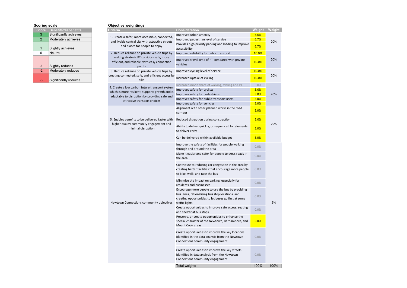| <b>Score</b>   | <b>Benefits/disbenefits</b> |
|----------------|-----------------------------|
| 3              | Significantly achieves      |
| $\overline{2}$ | Moderately achieves         |
|                |                             |
| 1              | Slightly achieves           |
| ი              | Neutral                     |
|                |                             |
|                |                             |
| $-1$           | Slightly reduces            |
| $-2$           | Moderately reduces          |
|                |                             |
| -3             | Significantly reduces       |

### Scoring scale **Scoring** scale Change of Children Children Children Children Children Children Children Children Children Children Children Children Children Children Children Children Children Children Children Children Ch

| <b>Score</b>   | <b>Benefits/disbenefits</b> | <b>Criteria</b>                                                                                                                           | <b>Consideration</b>                                                                                                                                                            | Weight | Weight |
|----------------|-----------------------------|-------------------------------------------------------------------------------------------------------------------------------------------|---------------------------------------------------------------------------------------------------------------------------------------------------------------------------------|--------|--------|
| 3              | Significantly achieves      |                                                                                                                                           | Improved urban amenity                                                                                                                                                          | 6.6%   |        |
| $\overline{2}$ | Moderately achieves         | 1. Create a safer, more accessible, connected,                                                                                            | Improved pedestrian level of service                                                                                                                                            | 6.7%   |        |
|                |                             | and livable central city with attractive streets                                                                                          | Provides high priority parking and loading to improve                                                                                                                           |        | 20%    |
| 1              | Slightly achieves           | and places for people to enjoy                                                                                                            | accessibility                                                                                                                                                                   | 6.7%   |        |
| 0              | <b>Neutral</b>              | 2. Reduce reliance on private vehicle trips by                                                                                            | Improved reliability for public transport                                                                                                                                       | 10.0%  |        |
| -1             | <b>Slightly reduces</b>     | making strategic PT corridors safe, more<br>efficient, and reliable, with easy connection<br>points                                       | Improved travel time of PT compared with private<br>vehicles                                                                                                                    | 10.0%  | 20%    |
| $-2$           | Moderately reduces          | 3. Reduce reliance on private vehicle trips by                                                                                            | Improved cycling level of service                                                                                                                                               | 10.0%  |        |
| $-3$           | Significantly reduces       | creating connected, safe, and efficient access by<br>bike                                                                                 | Increased uptake of cycling                                                                                                                                                     | 10.0%  | 20%    |
|                |                             |                                                                                                                                           | Increased mode share of walking, cycling and PT                                                                                                                                 | 0.0%   |        |
|                |                             | 4. Create a low carbon future transport system                                                                                            | Improves safety for cyclists                                                                                                                                                    | 5.0%   |        |
|                |                             | which is more resilient, supports growth and is<br>adaptable to disruption by providing safe and                                          | Improves safety for pedestrians                                                                                                                                                 | 5.0%   | 20%    |
|                |                             | attractive transport choices                                                                                                              | Improves safety for public transport users                                                                                                                                      | 5.0%   |        |
|                |                             |                                                                                                                                           | Improves safety for vehicles                                                                                                                                                    | 5.0%   |        |
|                |                             |                                                                                                                                           | Alignment with other planned works in the road<br>corridor                                                                                                                      | 5.0%   |        |
|                |                             | 5. Enables benefits to be delivered faster with                                                                                           | Reduced disruption during construction                                                                                                                                          | 5.0%   |        |
|                |                             | higher quality community engagement and<br>minimal disruption                                                                             | Ability to deliver quickly, or sequenced for elements<br>to deliver early                                                                                                       | 5.0%   | 20%    |
|                |                             |                                                                                                                                           | Can be delivered within available budget                                                                                                                                        | 5.0%   |        |
|                |                             | Improve the safety of facilities for people walking<br>through and around the area                                                        | 0.0%                                                                                                                                                                            |        |        |
|                |                             |                                                                                                                                           | Make it easier and safer for people to cross roads in<br>the area                                                                                                               | 0.0%   |        |
|                |                             |                                                                                                                                           | Contribute to reducing car congestion in the area by<br>creating better facilities that encourage more people<br>to bike, walk, and take the bus                                | 0.0%   |        |
|                |                             |                                                                                                                                           | Minimise the impact on parking, especially for<br>residents and businesses                                                                                                      | 0.0%   |        |
|                |                             | Newtown Connections community objectives                                                                                                  | Encourage more people to use the bus by providing<br>bus lanes, rationalising bus stop locations, and<br>creating opportunities to let buses go first at some<br>traffic lights | 0.0%   | 5%     |
|                |                             |                                                                                                                                           | Create opportunities to improve safe access, seating<br>and shelter at bus stops                                                                                                | 0.0%   |        |
|                |                             | Preserve, or create opportunities to enhance the<br>special character of the Newtown, Berhampore, and<br>Mount Cook areas                 | 5.0%                                                                                                                                                                            |        |        |
|                |                             | Create opportunities to improve the key locations<br>identified in the data analysis from the Newtown<br>Connections community engagement | 0.0%                                                                                                                                                                            |        |        |
|                |                             |                                                                                                                                           | Create opportunities to improve the key streets<br>identified in data analysis from the Newtown<br>Connections community engagement                                             | 0.0%   |        |
|                |                             |                                                                                                                                           | Total weights                                                                                                                                                                   | 100%   | 100%   |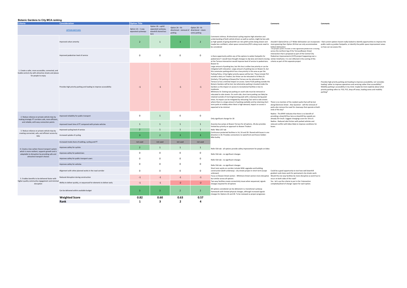#### Botanic Gardens to City MCA ranking

| <b>Criteria</b>                                                                                                                      | Consideration                                                          | <b>Option Title</b>                      |                                                                          | <b>Comments</b>                                                             | Comments                        | <b>Comments</b>                                                                                                                                                                                                                                                                                                                                                                                                                                                                                                                                                                                                                                                                                                                                                                                                                                                                                                                                                                                                                                                                                                                                                                                                           |                                                                                                                                                                                                                 |                                                                                                                                                                                                                                                                                                                                                                                                                                                                              |
|--------------------------------------------------------------------------------------------------------------------------------------|------------------------------------------------------------------------|------------------------------------------|--------------------------------------------------------------------------|-----------------------------------------------------------------------------|---------------------------------|---------------------------------------------------------------------------------------------------------------------------------------------------------------------------------------------------------------------------------------------------------------------------------------------------------------------------------------------------------------------------------------------------------------------------------------------------------------------------------------------------------------------------------------------------------------------------------------------------------------------------------------------------------------------------------------------------------------------------------------------------------------------------------------------------------------------------------------------------------------------------------------------------------------------------------------------------------------------------------------------------------------------------------------------------------------------------------------------------------------------------------------------------------------------------------------------------------------------------|-----------------------------------------------------------------------------------------------------------------------------------------------------------------------------------------------------------------|------------------------------------------------------------------------------------------------------------------------------------------------------------------------------------------------------------------------------------------------------------------------------------------------------------------------------------------------------------------------------------------------------------------------------------------------------------------------------|
|                                                                                                                                      | <b>OPTION SKETCHES</b>                                                 | Option 1A - 1 way<br>separated cycleways | Option 1B - uphill<br>separated cycleway,<br>downhill shared bus<br>lane | Option 2A - Bi-<br>directional - removal of directional - retain<br>parking | Option 2B - Bi-<br>some parking |                                                                                                                                                                                                                                                                                                                                                                                                                                                                                                                                                                                                                                                                                                                                                                                                                                                                                                                                                                                                                                                                                                                                                                                                                           |                                                                                                                                                                                                                 |                                                                                                                                                                                                                                                                                                                                                                                                                                                                              |
|                                                                                                                                      | Improved urban amenity                                                 | -2                                       |                                                                          | 3                                                                           | $\overline{2}$                  | Comments Isthmus. Bi-directional cycling requires high attention and<br>understanding of both vehicle drivers as well as cyclists, might be less safe<br>be considered                                                                                                                                                                                                                                                                                                                                                                                                                                                                                                                                                                                                                                                                                                                                                                                                                                                                                                                                                                                                                                                    | bollard delineation<br>The brolect bians include a new signalised bedestrian crossing                                                                                                                           | as high speeds of going downhill can risk uphill cyclists being slower and shouldn't Option2A be a 2? Wider delineation can incorporate Ifeel current options havent really looked to identify opportunities to improve the<br>maybe less confident, urban space connections/POI's along route need to more greening than Option 2B that can only accommodate public realm e.g widen footpaths, or identify the public space improvement areas.<br>so how can we assess this |
|                                                                                                                                      | Improved pedestrian level of service                                   | 0                                        | $\Omega$                                                                 | $\Omega$                                                                    |                                 | is there opportunity within any of the options to widen footpaths for<br>pedestrians? I would have thought changes to slip lane and island crossing similar timeframe. It is not reflected in the scoring of this<br>at the Terrace intersection would improve level of service to pedestrians. criteria as part of this separate project                                                                                                                                                                                                                                                                                                                                                                                                                                                                                                                                                                                                                                                                                                                                                                                                                                                                                 |                                                                                                                                                                                                                 |                                                                                                                                                                                                                                                                                                                                                                                                                                                                              |
| 1. Create a safer, more accessible, connected, and<br>livable central city with attractive streets and places<br>for people to enjoy | Provides high priority parking and loading to improve accessibility    | $-1$                                     | $-1$                                                                     | $-1$                                                                        | $-1$                            | Bowen St:<br>Large amount of parking loss, but this loss is either low priority or can be<br>mitigated with relocation. Large amount of parking loss on Bowen St, but<br>this commuter parking which has a low priority in this area as per the<br>Parking Policy. A few higher priority spaces will be lost. These include P10<br>outside a dairy on Tinakori, but these can be relocated to St Mary St.<br>Similarly, P10 parking at Bowen/the Terrace can be relocated ot the<br>Terrace so has a minimal impact on access. Some P120 parking outside the<br>Botanic Gardens will be lost, but alternative parking is located inside the<br>Gardens so the impact on access to recreational facilities is low to<br>moderate.<br>Whitmore St: Existing taxi parking on south side must be removed or<br>relocated to side streets. On north side, short-term parking can likely be<br>retained outside of morning/evening peak with a clearway during peak<br>times. As impact can be mitigated by relocating Taxi rank to side streets<br>where there is a large amount of parking available and by retaining short<br>term parks at midday when there is high demand, impact on access is<br>expected to be minimal. | There is no mention of the resident parks that will be lost<br>along Glenmore Street . Also Question - will the removal of<br>parks also remove the need for clearways that operate at both<br>ends of the day? | Provides high priority parking and loading to improve accessibility. isnt 'provides<br>loading' rather to improve operations and servicing rather than accessibility?<br>Mobility parking is accessiblity in my mind. maybe be more explicity about what<br>priority parking refers to: P10, P15, drop off areas, loading zones and mobility<br>parking?                                                                                                                     |
| 2. Reduce reliance on private vehicle trips by<br>making strategic PT corridors safe, more efficient,                                | Improved reliability for public transport                              | $\mathbf 0$                              | 1                                                                        | 0                                                                           | $\Omega$                        | Only significant change for 1B                                                                                                                                                                                                                                                                                                                                                                                                                                                                                                                                                                                                                                                                                                                                                                                                                                                                                                                                                                                                                                                                                                                                                                                            | Nadine - The BPAP indicates that there is no benefit of<br>providing a downhill bus lane as downhill bus speeds are<br>already 50+ km/h. Suggest changings score for 1B to 0.                                   |                                                                                                                                                                                                                                                                                                                                                                                                                                                                              |
| and reliable, with easy connection points                                                                                            | Improved travel time of PT compared with private vehicles              | 1                                        |                                                                          |                                                                             | $\mathbf{1}$                    | Assumes bus jumps at Bowen Terrace for all options, 1B also provides<br>limited bus priority on approach to Bowen Tinakori                                                                                                                                                                                                                                                                                                                                                                                                                                                                                                                                                                                                                                                                                                                                                                                                                                                                                                                                                                                                                                                                                                | Nadine - Reduced side friction with parked vehicles and<br>reduced conflict with bikes likely to improve conditions for<br>buses.                                                                               |                                                                                                                                                                                                                                                                                                                                                                                                                                                                              |
| 3. Reduce reliance on private vehicle trips by                                                                                       | Improved cycling level of service                                      |                                          |                                                                          |                                                                             |                                 | Refer 'Bike LOS' tab                                                                                                                                                                                                                                                                                                                                                                                                                                                                                                                                                                                                                                                                                                                                                                                                                                                                                                                                                                                                                                                                                                                                                                                                      |                                                                                                                                                                                                                 |                                                                                                                                                                                                                                                                                                                                                                                                                                                                              |
| creating connected, safe, and efficient access by<br>bike                                                                            | Increased uptake of cycling                                            | -3                                       | <sup>2</sup>                                                             | 3                                                                           | 3 <sup>1</sup>                  | Continuous protected facilities in 1A, 2A and 2B. Shared with buses in one<br>direction in 1B. Provides connections to waterfront and future Golden<br>Mile facility                                                                                                                                                                                                                                                                                                                                                                                                                                                                                                                                                                                                                                                                                                                                                                                                                                                                                                                                                                                                                                                      |                                                                                                                                                                                                                 |                                                                                                                                                                                                                                                                                                                                                                                                                                                                              |
|                                                                                                                                      | Increased mode share of walking, cycling and PT                        | not used                                 | not used                                                                 | not used                                                                    | not used                        |                                                                                                                                                                                                                                                                                                                                                                                                                                                                                                                                                                                                                                                                                                                                                                                                                                                                                                                                                                                                                                                                                                                                                                                                                           |                                                                                                                                                                                                                 |                                                                                                                                                                                                                                                                                                                                                                                                                                                                              |
| 4. Create a low carbon future transport system                                                                                       | Improves safety for cyclists                                           | $\overline{2}$                           |                                                                          | 1                                                                           | $\mathbf{1}$                    | Refer SSA tab - all options provide safety improvement for people on bikes                                                                                                                                                                                                                                                                                                                                                                                                                                                                                                                                                                                                                                                                                                                                                                                                                                                                                                                                                                                                                                                                                                                                                |                                                                                                                                                                                                                 |                                                                                                                                                                                                                                                                                                                                                                                                                                                                              |
| which is more resilient, supports growth and is<br>adaptable to disruption by providing safe and<br>attractive transport choices     | Improves safety for pedestrians                                        | $\Omega$                                 | <sup>0</sup>                                                             | <sup>0</sup>                                                                | 0                               | Refer SSA tab - no significant changes                                                                                                                                                                                                                                                                                                                                                                                                                                                                                                                                                                                                                                                                                                                                                                                                                                                                                                                                                                                                                                                                                                                                                                                    |                                                                                                                                                                                                                 |                                                                                                                                                                                                                                                                                                                                                                                                                                                                              |
|                                                                                                                                      | Improves safety for public transport users                             | $\Omega$                                 | <sup>0</sup>                                                             | 0                                                                           | 0                               | Refer SSA tab - no significant changes                                                                                                                                                                                                                                                                                                                                                                                                                                                                                                                                                                                                                                                                                                                                                                                                                                                                                                                                                                                                                                                                                                                                                                                    |                                                                                                                                                                                                                 |                                                                                                                                                                                                                                                                                                                                                                                                                                                                              |
|                                                                                                                                      | Improves safety for vehicles                                           | $\Omega$                                 | $\Omega$                                                                 | ∩                                                                           | $\Omega$                        | Refer SSA tab - no significant changes                                                                                                                                                                                                                                                                                                                                                                                                                                                                                                                                                                                                                                                                                                                                                                                                                                                                                                                                                                                                                                                                                                                                                                                    |                                                                                                                                                                                                                 |                                                                                                                                                                                                                                                                                                                                                                                                                                                                              |
|                                                                                                                                      | Alignment with other planned works in the road corridor                | $\Omega$                                 | $\Omega$                                                                 | $\Omega$                                                                    |                                 | Short term works on corridor include WWL upgrades and building<br>construction (both underway) - city streets project in short term (scope<br>unknown)                                                                                                                                                                                                                                                                                                                                                                                                                                                                                                                                                                                                                                                                                                                                                                                                                                                                                                                                                                                                                                                                    | Could be a good opportunity to test how well downhill<br>gradient cycle lanes work for permament city streets work.                                                                                             |                                                                                                                                                                                                                                                                                                                                                                                                                                                                              |
| 5. Enables benefits to be delivered faster with                                                                                      | Reduced disruption during construction                                 | $-1$                                     | $-1$                                                                     | $-1$                                                                        | $-1$                            | Focus on Bowen Street section - Whitmore Street section more disruptive Would the one way facilities be more disruptive as work has to<br>but similar across all options                                                                                                                                                                                                                                                                                                                                                                                                                                                                                                                                                                                                                                                                                                                                                                                                                                                                                                                                                                                                                                                  | occur on both sides of the road?                                                                                                                                                                                |                                                                                                                                                                                                                                                                                                                                                                                                                                                                              |
| higher quality community engagement and minimal<br>disruption                                                                        | Ability to deliver quickly, or sequenced for elements to deliver early | $-1$                                     | $-1$                                                                     | $-2$                                                                        | $-2$                            | Two-way facilities create connectivity issues when sequenced, signals<br>changes required for all options                                                                                                                                                                                                                                                                                                                                                                                                                                                                                                                                                                                                                                                                                                                                                                                                                                                                                                                                                                                                                                                                                                                 | Yes - let's use the criteria to put in the 'intersection<br>complexity/level of change' aspect for each option.                                                                                                 |                                                                                                                                                                                                                                                                                                                                                                                                                                                                              |
|                                                                                                                                      | Can be delivered within available budget                               | -3                                       |                                                                          | $2^{\circ}$                                                                 | $\overline{2}$                  | All options considered can be delivered in a transitional cycleway<br>framework with limited physical changes, although increased signals<br>changes for Options 2A and 2B. To be reviewed as project progresses                                                                                                                                                                                                                                                                                                                                                                                                                                                                                                                                                                                                                                                                                                                                                                                                                                                                                                                                                                                                          |                                                                                                                                                                                                                 |                                                                                                                                                                                                                                                                                                                                                                                                                                                                              |
|                                                                                                                                      | <b>Weighted Score</b>                                                  | 0.82                                     | 0.60                                                                     | 0.63                                                                        | 0.57                            |                                                                                                                                                                                                                                                                                                                                                                                                                                                                                                                                                                                                                                                                                                                                                                                                                                                                                                                                                                                                                                                                                                                                                                                                                           |                                                                                                                                                                                                                 |                                                                                                                                                                                                                                                                                                                                                                                                                                                                              |
|                                                                                                                                      | <b>Rank</b>                                                            | -1                                       | 3                                                                        | $\overline{2}$                                                              | 4                               |                                                                                                                                                                                                                                                                                                                                                                                                                                                                                                                                                                                                                                                                                                                                                                                                                                                                                                                                                                                                                                                                                                                                                                                                                           |                                                                                                                                                                                                                 |                                                                                                                                                                                                                                                                                                                                                                                                                                                                              |
|                                                                                                                                      |                                                                        |                                          |                                                                          |                                                                             |                                 |                                                                                                                                                                                                                                                                                                                                                                                                                                                                                                                                                                                                                                                                                                                                                                                                                                                                                                                                                                                                                                                                                                                                                                                                                           |                                                                                                                                                                                                                 |                                                                                                                                                                                                                                                                                                                                                                                                                                                                              |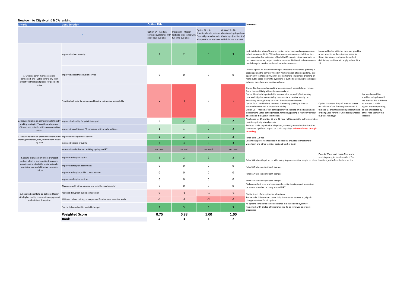| n spaces<br>ne bus<br>ents to<br>vements       | Increased buffer width for cycleway good for<br>urban amenity as there is more space for<br>things like planters, artwork, beautified<br>deliniation, so this would apply to $1A + 2A +$<br>2B |                                                                                    |
|------------------------------------------------|------------------------------------------------------------------------------------------------------------------------------------------------------------------------------------------------|------------------------------------------------------------------------------------|
| ening in<br>ing? also<br>ening or<br>ant space |                                                                                                                                                                                                |                                                                                    |
| emain.                                         |                                                                                                                                                                                                |                                                                                    |
| cing<br>ar.                                    |                                                                                                                                                                                                | Options 2A and 2B -<br>southbound cyclists will<br>are likely to find it difficult |
| Ć                                              | Option 1- current drop off area for busses<br>etc in front of the Embassy is removed. is                                                                                                       | to proceed if traffic<br>signals are not operating                                 |
| on Kent<br>y difficult                         | this not -3? or is this currently underutilised<br>or being used for other unsuitable purposes<br>(e.g taxi standby)?                                                                          | as less anticipated by<br>other road users in this<br>location                     |
| mpered as                                      |                                                                                                                                                                                                |                                                                                    |
| ional to<br>d through                          |                                                                                                                                                                                                |                                                                                    |
| าร to                                          |                                                                                                                                                                                                |                                                                                    |

| Newtown to City (North) MCA ranking<br><b>Criteria</b>                                                                             | <b>Consideration</b>                                                   | <b>Option Title</b><br><b>Comments</b>                                                          |                                           |                 |                                                                                                                                                                                |                                                                                                                                                                                                                                                                                                                                                                                                                                                                                                                                                                                                                                                      |
|------------------------------------------------------------------------------------------------------------------------------------|------------------------------------------------------------------------|-------------------------------------------------------------------------------------------------|-------------------------------------------|-----------------|--------------------------------------------------------------------------------------------------------------------------------------------------------------------------------|------------------------------------------------------------------------------------------------------------------------------------------------------------------------------------------------------------------------------------------------------------------------------------------------------------------------------------------------------------------------------------------------------------------------------------------------------------------------------------------------------------------------------------------------------------------------------------------------------------------------------------------------------|
|                                                                                                                                    | $\mathbf{R}$                                                           | Option 1A - Median<br>kerbside cycle lanes with kerbside cycle lanes wit<br>peak hour bus lanes | Option 1B - Median<br>full-time bus lanes | Option 2A - Bi- | Option 2B - Bi-<br>directional cycle path on directional cycle path on<br>Cambridge (median side) Cambridge (median side)<br>with peak hour bus lanes with full-time bus lanes |                                                                                                                                                                                                                                                                                                                                                                                                                                                                                                                                                                                                                                                      |
|                                                                                                                                    | Improved urban amenity                                                 | $\overline{2}$                                                                                  | $\overline{2}$                            | -3              | $\overline{3}$                                                                                                                                                                 | Kerb buildout at Vivian St pushes cyclists onto road, median green spaces<br>to be incorporated into POI's/urban space enhancements, full-time bus<br>lane supports a few principles of livability/15 min city - improvements to<br>bus network needed, as per previous comment bi-directional movements<br>need change in mindset and need a rise in awareness                                                                                                                                                                                                                                                                                      |
| 1. Create a safer, more accessible,<br>connected, and livable central city with<br>attractive streets and places for people to     | Improved pedestrian level of service                                   | 0                                                                                               | 0                                         | $\Omega$        | 0                                                                                                                                                                              | Couldnt option 2B include widening of footpaths or increased greening in<br>sectiona along the corridor mixed in with retention of some parking? also<br>opportunity in Option2 (Vivian St intersection) to implement greening or<br>more public space where the cycle lane is pushed out leaving vacant space<br>between cycle lane and median walkway                                                                                                                                                                                                                                                                                              |
| enjoy                                                                                                                              | Provides high priority parking and loading to improve accessibility    | $-2$                                                                                            | $-3$                                      | $\Omega$        | $-3$                                                                                                                                                                           | Option 1A - both median parking lanes removed, kerbside lanes remain.<br>Some demand likely will not be accomodated.<br>Option 1B - Cambridge kerbside lane remains, around 3/4 of parking<br>removed. High impact on ability to access local destinations by car.<br>Remaining parking is easy to access from local destinations.<br>Option 2A - 1 middle lane removed. Remaining parking is likely to<br>accomodate demand at most times of day<br>Option 2B - Around 3/4 of parking removed. Parking on median on Kent<br>side remains. Large parking impact, remaining parking is relatively difficult<br>to access as it is against the median. |
| 2. Reduce reliance on private vehicle trips by Improved reliability for public transport                                           |                                                                        | 0                                                                                               | $\overline{2}$                            | $\mathbf 0$     | $\overline{2}$                                                                                                                                                                 | No change for 1A and 2A, 1B and 2B have full time priotity but tempered as<br>part time priority already exists                                                                                                                                                                                                                                                                                                                                                                                                                                                                                                                                      |
| making strategic PT corridors safe, more<br>efficient, and reliable, with easy connection<br>points                                | Improved travel time of PT compared with private vehicles              | $\mathbf{1}$                                                                                    | 1                                         | $\overline{2}$  | $\overline{2}$                                                                                                                                                                 | Reduced traffic capacity for all options, currently expect bi-directional to<br>have more significant impact on traffic capacity - to be confirmed through<br>modelling                                                                                                                                                                                                                                                                                                                                                                                                                                                                              |
| 3. Reduce reliance on private vehicle trips by Improved cycling level of service<br>creating connected, safe, and efficient access |                                                                        | $\overline{2}$                                                                                  | $\overline{2}$                            | $\overline{2}$  | $\overline{2}$                                                                                                                                                                 | Refer 'Bike LOS' tab                                                                                                                                                                                                                                                                                                                                                                                                                                                                                                                                                                                                                                 |
| by bike                                                                                                                            | Increased uptake of cycling                                            | $\overline{3}$                                                                                  | -3                                        | -3              | 3                                                                                                                                                                              | Continuous protected facilities in all options, provides connections to<br>waterfront and other facilities east and west of Basin                                                                                                                                                                                                                                                                                                                                                                                                                                                                                                                    |
|                                                                                                                                    | Increased mode share of walking, cycling and PT                        | not used                                                                                        | not used                                  | not used        | not used                                                                                                                                                                       |                                                                                                                                                                                                                                                                                                                                                                                                                                                                                                                                                                                                                                                      |
| 4. Create a low carbon future transport<br>system which is more resilient, supports                                                | Improves safety for cyclists                                           | $\overline{2}$                                                                                  | $\overline{2}$                            | $\overline{2}$  | $\overline{2}$                                                                                                                                                                 | Refer SSA tab - all options provide safety improvement for people on bikes                                                                                                                                                                                                                                                                                                                                                                                                                                                                                                                                                                           |
| growth and is adaptable to disruption by<br>providing safe and attractive transport                                                | Improves safety for pedestrians                                        | 0                                                                                               | $\Omega$                                  | $\Omega$        | 0                                                                                                                                                                              | Refer SSA tab - no significant changes                                                                                                                                                                                                                                                                                                                                                                                                                                                                                                                                                                                                               |
| choices                                                                                                                            | Improves safety for public transport users                             | $\Omega$                                                                                        | $\Omega$                                  | $\Omega$        | $\Omega$                                                                                                                                                                       | Refer SSA tab - no significant changes                                                                                                                                                                                                                                                                                                                                                                                                                                                                                                                                                                                                               |
|                                                                                                                                    | Improves safety for vehicles                                           | 0                                                                                               | 0                                         | $\Omega$        | 0                                                                                                                                                                              | Refer SSA tab - no significant changes                                                                                                                                                                                                                                                                                                                                                                                                                                                                                                                                                                                                               |
|                                                                                                                                    | Alignment with other planned works in the road corridor                | 0                                                                                               | 0                                         | $\Omega$        | 0                                                                                                                                                                              | No known short term works on corridor - city streets project in medium<br>term - once further certainty around MRT                                                                                                                                                                                                                                                                                                                                                                                                                                                                                                                                   |
| 5. Enables benefits to be delivered faster                                                                                         | Reduced disruption during construction                                 | $-1$                                                                                            | $-1$                                      | $-1$            | $-1$                                                                                                                                                                           | Similar levels of disruption for all options                                                                                                                                                                                                                                                                                                                                                                                                                                                                                                                                                                                                         |
| with higher quality community engagement<br>and minimal disruption                                                                 | Ability to deliver quickly, or sequenced for elements to deliver early | $-1$                                                                                            | $-1$                                      | $-2$            | $-2$                                                                                                                                                                           | Two-way facilities create connectivity issues when sequenced, signals<br>changes required for all options                                                                                                                                                                                                                                                                                                                                                                                                                                                                                                                                            |
|                                                                                                                                    | Can be delivered within available budget                               | 3                                                                                               | 3                                         | 3               | 3                                                                                                                                                                              | All options considered can be delivered in a transitional cycleway<br>framework with limited physical changes. To be reviewed as project<br>progresses                                                                                                                                                                                                                                                                                                                                                                                                                                                                                               |
|                                                                                                                                    | <b>Weighted Score</b>                                                  | 0.75                                                                                            | 0.88                                      | 1.00            | 1.00                                                                                                                                                                           |                                                                                                                                                                                                                                                                                                                                                                                                                                                                                                                                                                                                                                                      |
|                                                                                                                                    | Rank                                                                   | 4                                                                                               | 3                                         | $\mathbf{1}$    | $\mathbf{2}$                                                                                                                                                                   |                                                                                                                                                                                                                                                                                                                                                                                                                                                                                                                                                                                                                                                      |

| Place to Waterfront maps. New world                |
|----------------------------------------------------|
| servicing entry/exit and vehicle U Turn            |
| e on bikes locations just before the intersection. |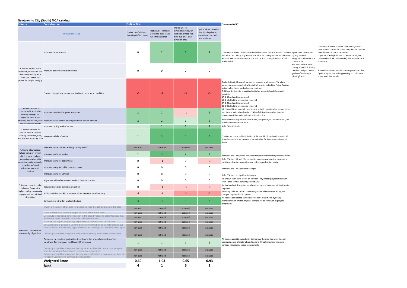#### Newtown to City (South) MCA ranking

Agree need to consider the riddiford section is separated cycling network - Options 1C+1D (Riddiford st) would be a 3, but, integration with Adelaide combined with 1B (Adelaide Rd) this pulls the total Comments Isthmus. Option 1A shared cycle bus lanes should score 0 for status quo, despite the fact down to a 2 ook more d LoS during

So much more opportunity not integrated into the Options. Again this is disappointing as could score higher with this benefit

| <b>Option Title</b><br><b>Criteria</b><br><b>Consideration</b>                                                                                                                                 |                                                                                                                                                                                                                                                      |                                                  |                                                                        |                                                                                                             |                                                                                             | Comments (WSP)                                                                                                                                                                                                                                                                                                                                                                                                                                 |
|------------------------------------------------------------------------------------------------------------------------------------------------------------------------------------------------|------------------------------------------------------------------------------------------------------------------------------------------------------------------------------------------------------------------------------------------------------|--------------------------------------------------|------------------------------------------------------------------------|-------------------------------------------------------------------------------------------------------------|---------------------------------------------------------------------------------------------|------------------------------------------------------------------------------------------------------------------------------------------------------------------------------------------------------------------------------------------------------------------------------------------------------------------------------------------------------------------------------------------------------------------------------------------------|
| <b>OPTION SKETCHES</b>                                                                                                                                                                         |                                                                                                                                                                                                                                                      | Option 1A - full time<br>shared cycle/ bus lanes | Option 1B - Kerbside<br>protected cycle lanes +<br>full time bus lanes | Option 2A - bi-<br>directional cycleway,<br>east side of road full<br>time bus lane - one<br>direction only | Option 2B - narrow bi-<br>directional cycleway,<br>east side of road full<br>time bus lanes |                                                                                                                                                                                                                                                                                                                                                                                                                                                |
| 1. Create a safer, more<br>livable central city with<br>attractive streets and<br>places for people to enjoy                                                                                   | Improved urban amenity                                                                                                                                                                                                                               | 0                                                | $\overline{\phantom{a}}$                                               | 3                                                                                                           | $\overline{2}$                                                                              | Comments Isthmus. Sceptical of the bi-directional routes if we can't achieve Agree need to consider<br>min width for safe cycling experience. Also, for having bi-directional routes - cycling network<br>we shall look at John St intersection and cyclists coming from top of hill<br>integration with Adelaid<br>Adelaide Rd<br>connections<br>We need to look more                                                                         |
|                                                                                                                                                                                                | accessible, connected, and Improved pedestrian level of service                                                                                                                                                                                      | 0                                                | $\mathbf 0$                                                            | 0                                                                                                           | 0                                                                                           | closely at ped LoS during<br>detailed design - can we<br>get benefits through<br>phasing? (CP)                                                                                                                                                                                                                                                                                                                                                 |
|                                                                                                                                                                                                | Provides high priority parking and loading to improve accessibility                                                                                                                                                                                  | -3                                               | -3                                                                     | -3                                                                                                          | $-3$                                                                                        | Adelaide Road: Almost all parking is removed in all options. Variety of<br>parking on street, much of which is high priority in Parking Policy. Parking<br>outside after hours medical centre retained.<br>Riddiford St: Short term parking facilitates access to local shops and<br>hospital.<br>1A & 1B: All parking removed<br>1C & 1D: Parking on one side removed<br>2A & 2B: All parking removed<br>2C & 2D: Parking on one side removed |
| Z. Reduce reliance on<br>private vehicle trips by<br>making strategic PT<br>corridors safe, more                                                                                               | Improved reliability for public transport                                                                                                                                                                                                            | $\overline{2}$                                   | $\overline{2}$                                                         | $-1$                                                                                                        | $\overline{2}$                                                                              | 1A, 1B and 2B all have full time priotity in both directions but tempered as<br>part time priority already exists. 2A has full time in one direction but<br>removes part time priority in opposite direction                                                                                                                                                                                                                                   |
|                                                                                                                                                                                                | efficient, and reliable, with Improved travel time of PT compared with private vehicles                                                                                                                                                              | $\overline{2}$                                   | $\overline{2}$                                                         | 1                                                                                                           | $\overline{2}$                                                                              | Reduced traffic capacity at all locations, bus priority in some locations, no<br>priority in one direction in 2A                                                                                                                                                                                                                                                                                                                               |
| easy connection points<br>3. Reduce reliance on<br>private vehicle trips by<br>creating connected, safe,<br>and efficient access by bike                                                       | Improved cycling level of service                                                                                                                                                                                                                    | $\mathbf{1}$                                     | $\overline{2}$                                                         | $\overline{2}$                                                                                              | $\overline{2}$                                                                              | Refer 'Bike LOS' tab                                                                                                                                                                                                                                                                                                                                                                                                                           |
|                                                                                                                                                                                                | Increased uptake of cycling                                                                                                                                                                                                                          | 1                                                | $\overline{3}$                                                         | 3                                                                                                           | $\overline{3}$                                                                              | Continuous protected facilities in 1B, 2A and 2B. Shared with buses in 1A.<br>Provides connections to waterfront and other facilities east and west of<br>Basin                                                                                                                                                                                                                                                                                |
| 4. Create a low carbon<br>future transport system<br>which is more resilient.<br>supports growth and is<br>adaptable to disruption by<br>providing safe and<br>attractive transport<br>choices | Increased mode share of walking, cycling and PT                                                                                                                                                                                                      | not used                                         | not used                                                               | not used                                                                                                    | not used                                                                                    |                                                                                                                                                                                                                                                                                                                                                                                                                                                |
|                                                                                                                                                                                                | Improves safety for cyclists                                                                                                                                                                                                                         | $\mathbf{1}$                                     | $\overline{3}$                                                         | $\overline{2}$                                                                                              | $\overline{2}$                                                                              | Refer SSA tab - all options provide safety improvement for people on bikes                                                                                                                                                                                                                                                                                                                                                                     |
|                                                                                                                                                                                                | Improves safety for pedestrians                                                                                                                                                                                                                      | 0                                                | $-1$                                                                   | 0                                                                                                           | $-1$                                                                                        | Refer SSA tab - 1A and 2B assumed to have narrow bus stop bypasses in<br>existing pedestrian footpath space reducing pedestrian safety                                                                                                                                                                                                                                                                                                         |
|                                                                                                                                                                                                | Improves safety for public transport users                                                                                                                                                                                                           | $\Omega$                                         | 0                                                                      | $\Omega$                                                                                                    | 0                                                                                           | Refer SSA tab - no significant changes                                                                                                                                                                                                                                                                                                                                                                                                         |
|                                                                                                                                                                                                | Improves safety for vehicles                                                                                                                                                                                                                         | $\Omega$                                         | $\Omega$                                                               | $\Omega$                                                                                                    | 0                                                                                           | Refer SSA tab - no significant changes                                                                                                                                                                                                                                                                                                                                                                                                         |
| 5. Enables benefits to be<br>delivered faster with<br>higher quality community<br>engagement and minimal<br>disruption                                                                         | Alignment with other planned works in the road corridor                                                                                                                                                                                              | 0                                                | 0                                                                      | 0                                                                                                           | 0                                                                                           | No known short term works on corridor - city streets project in medium<br>term - once further certainty around MRT<br>Similar levels of disruption for all options except 1A where minimal works                                                                                                                                                                                                                                               |
|                                                                                                                                                                                                | Reduced disruption during construction                                                                                                                                                                                                               | 0                                                | $-1$                                                                   | $-1$                                                                                                        | $-1$                                                                                        | required                                                                                                                                                                                                                                                                                                                                                                                                                                       |
|                                                                                                                                                                                                | Ability to deliver quickly, or sequenced for elements to deliver early                                                                                                                                                                               | $-1$                                             | $-1$                                                                   | $-2$                                                                                                        | $-2$                                                                                        | Two-way facilities create connectivity issues when sequenced, signals<br>changes required for all options<br>All options considered can be delivered in a transitional cycleway                                                                                                                                                                                                                                                                |
|                                                                                                                                                                                                | Can be delivered within available budget                                                                                                                                                                                                             | $\overline{3}$                                   | $\overline{3}$                                                         | $\overline{3}$                                                                                              | 3                                                                                           | framework with limited physical changes. To be reviewed as project<br>progresses                                                                                                                                                                                                                                                                                                                                                               |
| <b>Newtown Connections</b><br>community objectives                                                                                                                                             | Improve the safety of facilities for people walking through and around the area                                                                                                                                                                      | not used                                         | not used                                                               | not used                                                                                                    | not used                                                                                    |                                                                                                                                                                                                                                                                                                                                                                                                                                                |
|                                                                                                                                                                                                | Make it easier and safer for people to cross roads in the area<br>Contribute to reducing car congestion in the area by creating better facilities that                                                                                               | not used                                         | not used                                                               | not used                                                                                                    | not used                                                                                    |                                                                                                                                                                                                                                                                                                                                                                                                                                                |
|                                                                                                                                                                                                | encourage more people to bike, walk, and take the bus                                                                                                                                                                                                | not used                                         | not used                                                               | not used                                                                                                    | not used                                                                                    |                                                                                                                                                                                                                                                                                                                                                                                                                                                |
|                                                                                                                                                                                                | Minimise the impact on parking, especially for residents and businesses<br>Encourage more people to use the bus by providing bus lanes, rationalising bus<br>stop locations, and creating opportunities to let buses go first at some traffic lights | not used<br>not used                             | not used<br>not used                                                   | not used<br>not used                                                                                        | not used<br>not used                                                                        |                                                                                                                                                                                                                                                                                                                                                                                                                                                |
|                                                                                                                                                                                                | Create opportunities to improve safe access, seating and shelter at bus stops                                                                                                                                                                        | not used                                         | not used                                                               | not used                                                                                                    | not used                                                                                    |                                                                                                                                                                                                                                                                                                                                                                                                                                                |
|                                                                                                                                                                                                | Preserve, or create opportunities to enhance the special character of the<br>Newtown, Berhampore, and Mount Cook areas                                                                                                                               | 1                                                | $\mathbf{1}$                                                           | 1                                                                                                           | $\mathbf{1}$                                                                                | All options provide opportunity to improve the area character through<br>appropriate use of materials and designs. All options along the same<br>corridor with similar space requirements                                                                                                                                                                                                                                                      |
|                                                                                                                                                                                                | Create opportunities to improve the key locations identified in the data analysis<br>from the Newtown Connections community engagement                                                                                                               | not used                                         | not used                                                               | not used                                                                                                    | not used                                                                                    |                                                                                                                                                                                                                                                                                                                                                                                                                                                |
|                                                                                                                                                                                                | Create opportunities to improve the key streets identified in data analysis from the<br>Newtown Connections community engagement                                                                                                                     | not used                                         | not used                                                               | not used                                                                                                    | not used                                                                                    |                                                                                                                                                                                                                                                                                                                                                                                                                                                |
|                                                                                                                                                                                                | <b>Weighted Score</b>                                                                                                                                                                                                                                | 0.60                                             | 1.03                                                                   | 0.65                                                                                                        | 0.93                                                                                        |                                                                                                                                                                                                                                                                                                                                                                                                                                                |
|                                                                                                                                                                                                | Rank                                                                                                                                                                                                                                                 | 4                                                | 1                                                                      | 3                                                                                                           | $\mathbf{2}$                                                                                |                                                                                                                                                                                                                                                                                                                                                                                                                                                |